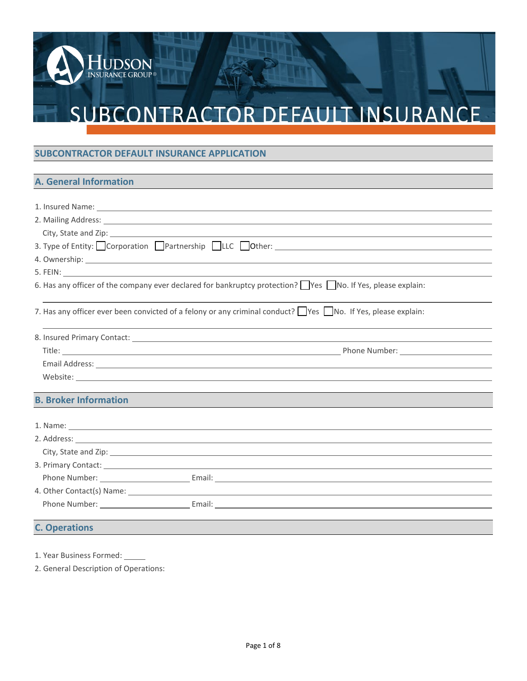# SUBCONTRACTOR DEFAULT INSURANCE

## **SUBCONTRACTOR DEFAULT INSURANCE APPLICATION**

HUDSON<br>insurance group®

## **A. General Information**

| 1. Insured Name: 1. 1999 Manual Manual Manual Manual Manual Manual Manual Manual Manual Manual Manual Manual M                                                                                                                       |
|--------------------------------------------------------------------------------------------------------------------------------------------------------------------------------------------------------------------------------------|
| 2. Mailing Address: <u>Communication</u> Communication and Communication Communication Communication Communication                                                                                                                   |
| City, State and Zip: 1978 City, State and Zip:                                                                                                                                                                                       |
| 3. Type of Entity: Corporation Partnership LLC Other: __________________________                                                                                                                                                     |
|                                                                                                                                                                                                                                      |
|                                                                                                                                                                                                                                      |
| 6. Has any officer of the company ever declared for bankruptcy protection? $\Box$ Yes $\Box$ No. If Yes, please explain:                                                                                                             |
| 7. Has any officer ever been convicted of a felony or any criminal conduct?    Yes    No. If Yes, please explain:                                                                                                                    |
| 8. Insured Primary Contact: Law Content Contract Content Contract Content Contract Content Content Content Content Content Content Content Content Content Content Content Content Content Content Content Content Content Con       |
|                                                                                                                                                                                                                                      |
| Email Address: Lawrence and Contract and Contract and Contract and Contract and Contract and Contract and Contract and Contract and Contract and Contract and Contract and Contract and Contract and Contract and Contract and       |
|                                                                                                                                                                                                                                      |
| <b>B. Broker Information</b>                                                                                                                                                                                                         |
|                                                                                                                                                                                                                                      |
|                                                                                                                                                                                                                                      |
| City, State and Zip: 1988 Contract to the City of the City of the City of the City of the City of the City of the City of the City of the City of the City of the City of the City of the City of the City of the City of the        |
| 3. Primary Contact: <u>Andrea Barbara and Barbara and Barbara and Barbara and Barbara and Barbara and Barbara and Barbara and Barbara and Barbara and Barbara and Barbara and Barbara and Barbara and Barbara and Barbara and Ba</u> |
|                                                                                                                                                                                                                                      |
|                                                                                                                                                                                                                                      |
|                                                                                                                                                                                                                                      |
| <b>C. Operations</b>                                                                                                                                                                                                                 |

1. Year Business Formed:

2. General Description of Operations: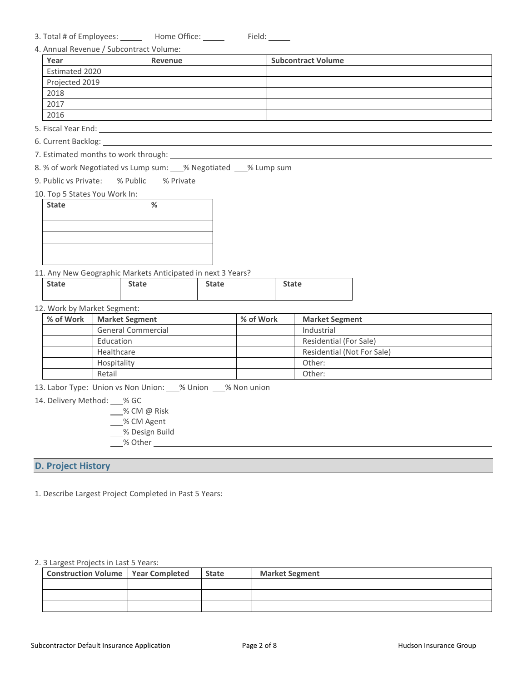| 3. Total # of Employees: | Home Office: | Field: |
|--------------------------|--------------|--------|
|--------------------------|--------------|--------|

|  |  | 4. Annual Revenue / Subcontract Volume: |  |
|--|--|-----------------------------------------|--|
|  |  |                                         |  |

| Year           | Revenue | <b>Subcontract Volume</b> |
|----------------|---------|---------------------------|
| Estimated 2020 |         |                           |
| Projected 2019 |         |                           |
| 2018           |         |                           |
| 2017           |         |                           |
| 2016           |         |                           |

5. Fiscal Year End:

- 6. Current Backlog:
- 7. Estimated months to work through:

8. % of work Negotiated vs Lump sum: \_\_\_% Negotiated \_\_\_% Lump sum

9. Public vs Private: % Public % Private

#### 10. Top 5 States You Work In:

| <b>State</b> | % |
|--------------|---|
|              |   |
|              |   |
|              |   |
|              |   |
|              |   |

#### 11. Any New Geographic Markets Anticipated in next 3 Years?

| <b>State</b> | State | <b>State</b> | <b>State</b> |  |
|--------------|-------|--------------|--------------|--|
|              |       |              |              |  |

#### 12. Work by Market Segment:

| % of Work | <b>Market Segment</b>     | % of Work | <b>Market Segment</b>      |
|-----------|---------------------------|-----------|----------------------------|
|           | <b>General Commercial</b> |           | Industrial                 |
|           | Education                 |           | Residential (For Sale)     |
|           | Healthcare                |           | Residential (Not For Sale) |
|           | Hospitality               |           | Other:                     |
|           | Retail                    |           | Other:                     |

13. Labor Type: Union vs Non Union: 6% Union 18% Non union

- 14. Delivery Method: \_\_ % GC
	- % CM @ Risk
	- % CM Agent
	- % Design Build
	- % Other

#### **D. Project History**

1. Describe Largest Project Completed in Past 5 Years:

#### 2. 3 Largest Projects in Last 5 Years:

| <b>Construction Volume   Year Completed</b> | <b>State</b> | <b>Market Segment</b> |
|---------------------------------------------|--------------|-----------------------|
|                                             |              |                       |
|                                             |              |                       |
|                                             |              |                       |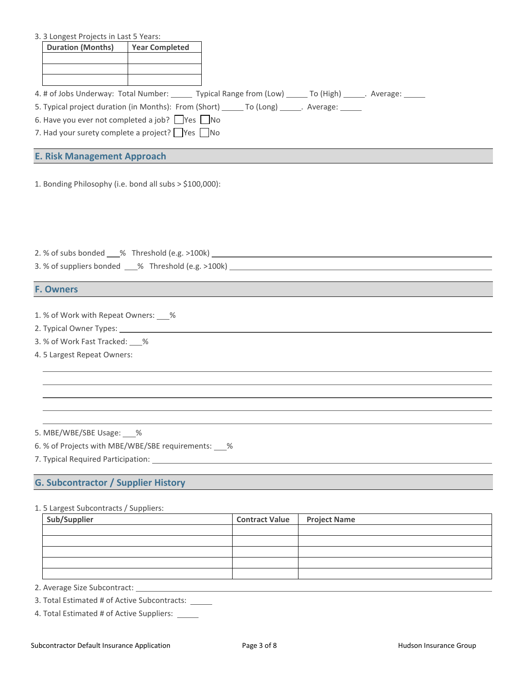|  |  |  | 3. 3 Longest Projects in Last 5 Years: |  |  |  |  |
|--|--|--|----------------------------------------|--|--|--|--|
|--|--|--|----------------------------------------|--|--|--|--|

| <b>Duration (Months)</b> | <b>Year Completed</b> |  |  |
|--------------------------|-----------------------|--|--|
|                          |                       |  |  |
|                          |                       |  |  |
|                          |                       |  |  |

- 4. # of Jobs Underway: Total Number: \_\_\_\_\_\_ Typical Range from (Low) \_\_\_\_\_\_ To (High) \_\_\_\_\_\_. Average: \_\_\_\_\_\_
- 5. Typical project duration (in Months): From (Short) \_\_\_\_\_ To (Long) \_\_\_\_\_. Average: \_\_\_\_\_
- 6. Have you ever not completed a job?  $\Box$  Yes  $\Box$  No
- 7. Had your surety complete a project?  $\Box$  Yes  $\Box$  No

#### **E. Risk Management Approach**

1. Bonding Philosophy (i.e. bond all subs > \$100,000):

|  | 2. % of subs bonded | $\frac{6}{5}$ Threshold (e.g. >100k) $\frac{1}{5}$ |  |  |
|--|---------------------|----------------------------------------------------|--|--|
|  |                     |                                                    |  |  |

3. % of suppliers bonded \_\_\_\_% Threshold (e.g. >100k) \_\_\_\_\_\_\_\_\_\_\_\_\_\_\_\_\_\_\_\_\_\_\_\_\_\_

#### **F. Owners**

1. % of Work with Repeat Owners:  $\_\%$ 

- 2. Typical Owner Types:
- 3. % of Work Fast Tracked: %
- 4. 5 Largest Repeat Owners:

5. MBE/WBE/SBE Usage: \_\_\_%

6. % of Projects with MBE/WBE/SBE requirements: \_\_\_%

7. Typical Required Participation:

### **G. Subcontractor / Supplier History**

#### 1. 5 Largest Subcontracts / Suppliers:

| Contract Value Project Name |
|-----------------------------|

2. Average Size Subcontract:

- 3. Total Estimated # of Active Subcontracts:
- 4. Total Estimated # of Active Suppliers: \_\_\_\_\_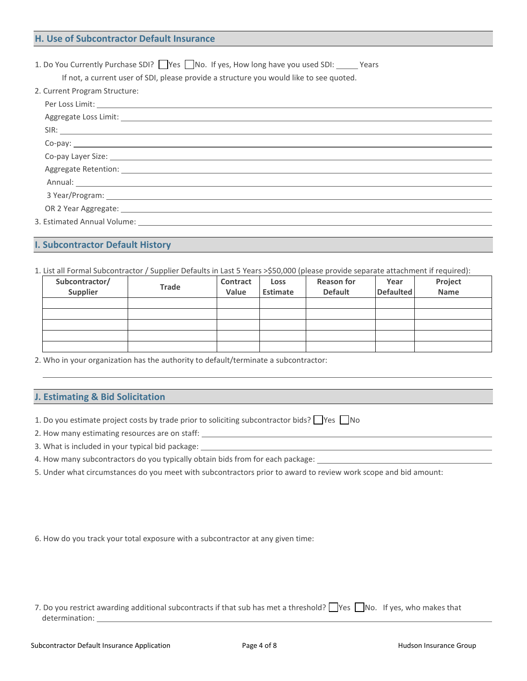1. Do You Currently Purchase SDI?  $\Box$  Yes  $\Box$  No. If yes, How long have you used SDI:  $\Box$  Years

If not, a current user of SDI, please provide a structure you would like to see quoted.

|  | 2. Current Program Structure: |
|--|-------------------------------|
|  |                               |

| 3 Year/Program: 2008 2012 2023 2024 2024 2022 2023 2024 2022 2023 2024 2022 2023 2024 2022 2023 2024 2022 2023          |  |
|-------------------------------------------------------------------------------------------------------------------------|--|
| OR 2 Year Aggregate: 2008 2 Year Aggregate:                                                                             |  |
| 3. Estimated Annual Volume: New York Contract and Security Annual Volume: New York Contract and Security Annual Volume: |  |

#### **I. Subcontractor Default History**

1. List all Formal Subcontractor / Supplier Defaults in Last 5 Years >\$50,000 (please provide separate attachment if required):

| Subcontractor/<br>Supplier | <b>Trade</b> | Contract<br>Value | Loss<br>Estimate | <b>Reason for</b><br><b>Default</b> | Year<br><b>Defaulted</b> | Project<br>Name |
|----------------------------|--------------|-------------------|------------------|-------------------------------------|--------------------------|-----------------|
|                            |              |                   |                  |                                     |                          |                 |
|                            |              |                   |                  |                                     |                          |                 |
|                            |              |                   |                  |                                     |                          |                 |
|                            |              |                   |                  |                                     |                          |                 |
|                            |              |                   |                  |                                     |                          |                 |

2. Who in your organization has the authority to default/terminate a subcontractor:

## **J. Estimating & Bid Solicitation**

1. Do you estimate project costs by trade prior to soliciting subcontractor bids?  $\Box$  Yes  $\Box$  No

2. How many estimating resources are on staff:

3. What is included in your typical bid package:

4. How many subcontractors do you typically obtain bids from for each package:

5. Under what circumstances do you meet with subcontractors prior to award to review work scope and bid amount:

6. How do you track your total exposure with a subcontractor at any given time:

| 7. Do you restrict awarding additional subcontracts if that sub has met a threshold? Wes No. If yes, who makes that |  |
|---------------------------------------------------------------------------------------------------------------------|--|
| determination:                                                                                                      |  |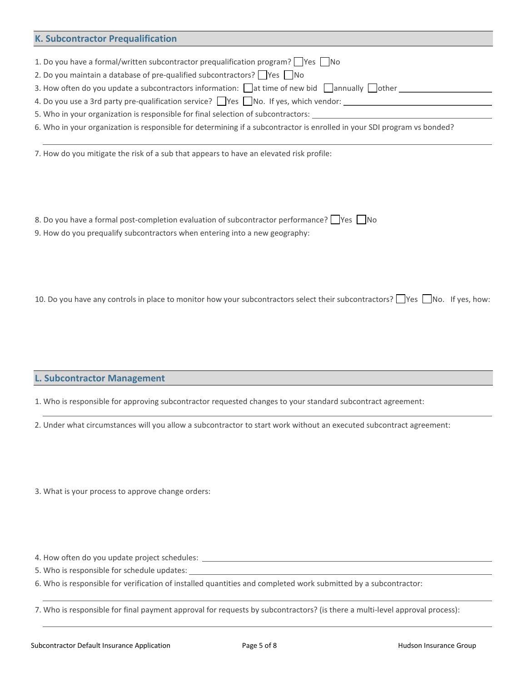| <b>K. Subcontractor Prequalification</b>                                                                                 |
|--------------------------------------------------------------------------------------------------------------------------|
|                                                                                                                          |
| 1. Do you have a formal/written subcontractor prequalification program? $\Box$ Yes $\Box$ No                             |
| 2. Do you maintain a database of pre-qualified subcontractors? $\Box$ Yes $\Box$ No                                      |
| 3. How often do you update a subcontractors information: at time of new bid annually other                               |
| 4. Do you use a 3rd party pre-qualification service? Ves No. If yes, which vendor:                                       |
| 5. Who in your organization is responsible for final selection of subcontractors:                                        |
| 6. Who in your organization is responsible for determining if a subcontractor is enrolled in your SDI program vs bonded? |
|                                                                                                                          |

7. How do you mitigate the risk of a sub that appears to have an elevated risk profile:

| 8. Do you have a formal post-completion evaluation of subcontractor performance? $\Box$ Yes $\Box$ No |  |
|-------------------------------------------------------------------------------------------------------|--|
| 9. How do you prequalify subcontractors when entering into a new geography:                           |  |

10. Do you have any controls in place to monitor how your subcontractors select their subcontractors? Wes No. If yes, how:

**L. Subcontractor Management**

1. Who is responsible for approving subcontractor requested changes to your standard subcontract agreement:

2. Under what circumstances will you allow a subcontractor to start work without an executed subcontract agreement:

3. What is your process to approve change orders:

4. How often do you update project schedules:

5. Who is responsible for schedule updates:

6. Who is responsible for verification of installed quantities and completed work submitted by a subcontractor:

7. Who is responsible for final payment approval for requests by subcontractors? (is there a multi-level approval process):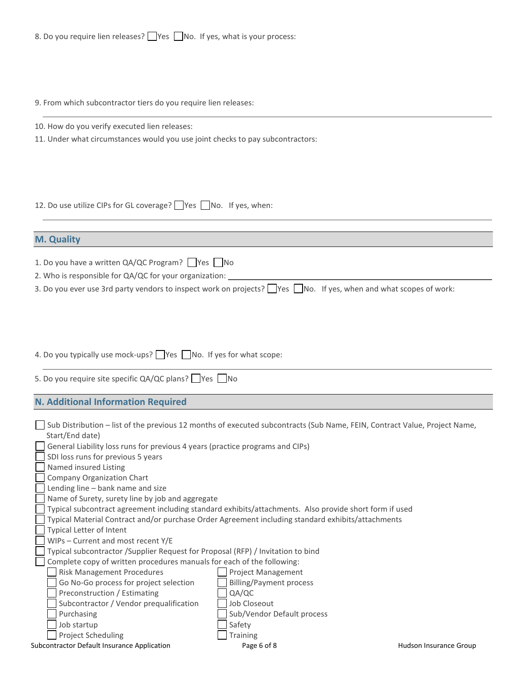8. Do you require lien releases? Wes No. If yes, what is your process:

9. From which subcontractor tiers do you require lien releases:

10. How do you verify executed lien releases:

11. Under what circumstances would you use joint checks to pay subcontractors:

12. Do use utilize CIPs for GL coverage? Wes No. If yes, when:

| <b>M. Quality</b>                                                                                                                                                                                                                                                                                                                                |
|--------------------------------------------------------------------------------------------------------------------------------------------------------------------------------------------------------------------------------------------------------------------------------------------------------------------------------------------------|
|                                                                                                                                                                                                                                                                                                                                                  |
| 1. Do you have a written QA/QC Program? Yes No                                                                                                                                                                                                                                                                                                   |
| 2. Who is responsible for QA/QC for your organization:                                                                                                                                                                                                                                                                                           |
| the search of the search of the contract of the contract of the contract of the contract of the contract of the<br>그는 그 사람들은 그 사람들은 그 사람들을 지르며 그 사람들을 지르며 그 사람들을 지르며 그 사람들을 지르며 그 사람들을 지르며 그 사람들을 지르며 그 사람들을 지르며 그 사람들을 지르며 그 사람들을 지르며 그 사람들을 지르며 그 사람들을 지르며 그 사람들을 지르며 그 사람들을 지르며 그 사람들을 지르며 그 사람들을 지르며 그 사람들을 지르며 그 사람들을 지르며 그 사람들을 지르며 그 사람들을 |

3. Do you ever use 3rd party vendors to inspect work on projects?  $\Box$  Yes  $\Box$  No. If yes, when and what scopes of work:

4. Do you typically use mock-ups? Ves No. If yes for what scope:

| 5. Do you require site specific QA/QC plans? Ves Mo |  |  |  |  |  |  |  |  |  |  |
|-----------------------------------------------------|--|--|--|--|--|--|--|--|--|--|
|-----------------------------------------------------|--|--|--|--|--|--|--|--|--|--|

**N. Additional Information Required**

| Sub Distribution - list of the previous 12 months of executed subcontracts (Sub Name, FEIN, Contract Value, Project Name, |                            |                        |
|---------------------------------------------------------------------------------------------------------------------------|----------------------------|------------------------|
| Start/End date)                                                                                                           |                            |                        |
| General Liability loss runs for previous 4 years (practice programs and CIPs)                                             |                            |                        |
| SDI loss runs for previous 5 years                                                                                        |                            |                        |
| Named insured Listing                                                                                                     |                            |                        |
| Company Organization Chart                                                                                                |                            |                        |
| Lending line – bank name and size                                                                                         |                            |                        |
| Name of Surety, surety line by job and aggregate                                                                          |                            |                        |
| Typical subcontract agreement including standard exhibits/attachments. Also provide short form if used                    |                            |                        |
| Typical Material Contract and/or purchase Order Agreement including standard exhibits/attachments                         |                            |                        |
| Typical Letter of Intent                                                                                                  |                            |                        |
| $WIPS - Current$ and most recent $Y/E$                                                                                    |                            |                        |
| Typical subcontractor / Supplier Request for Proposal (RFP) / Invitation to bind                                          |                            |                        |
| Complete copy of written procedures manuals for each of the following:                                                    |                            |                        |
| Risk Management Procedures                                                                                                | <b>Project Management</b>  |                        |
| Go No-Go process for project selection                                                                                    | Billing/Payment process    |                        |
| Preconstruction / Estimating                                                                                              | QA/QC                      |                        |
| Subcontractor / Vendor prequalification                                                                                   | Job Closeout               |                        |
| Purchasing                                                                                                                | Sub/Vendor Default process |                        |
| Job startup                                                                                                               | Safety                     |                        |
| Project Scheduling                                                                                                        | <b>Training</b>            |                        |
| Subcontractor Default Insurance Application                                                                               | Page 6 of 8                | Hudson Insurance Group |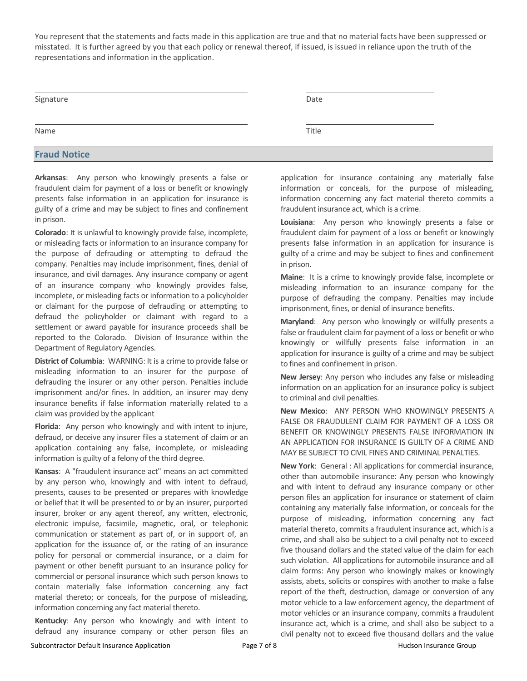You represent that the statements and facts made in this application are true and that no material facts have been suppressed or misstated. It is further agreed by you that each policy or renewal thereof, if issued, is issued in reliance upon the truth of the representations and information in the application.

| Signature           | Date  |  |
|---------------------|-------|--|
| Name                | Title |  |
| <b>Fraud Notice</b> |       |  |

**Arkansas**: Any person who knowingly presents a false or fraudulent claim for payment of a loss or benefit or knowingly presents false information in an application for insurance is guilty of a crime and may be subject to fines and confinement in prison.

**Colorado**: It is unlawful to knowingly provide false, incomplete, or misleading facts or information to an insurance company for the purpose of defrauding or attempting to defraud the company. Penalties may include imprisonment, fines, denial of insurance, and civil damages. Any insurance company or agent of an insurance company who knowingly provides false, incomplete, or misleading facts or information to a policyholder or claimant for the purpose of defrauding or attempting to defraud the policyholder or claimant with regard to a settlement or award payable for insurance proceeds shall be reported to the Colorado. Division of Insurance within the Department of Regulatory Agencies.

**District of Columbia**: WARNING: It is a crime to provide false or misleading information to an insurer for the purpose of defrauding the insurer or any other person. Penalties include imprisonment and/or fines. In addition, an insurer may deny insurance benefits if false information materially related to a claim was provided by the applicant

**Florida**: Any person who knowingly and with intent to injure, defraud, or deceive any insurer files a statement of claim or an application containing any false, incomplete, or misleading information is guilty of a felony of the third degree.

**Kansas**: A "fraudulent insurance act" means an act committed by any person who, knowingly and with intent to defraud, presents, causes to be presented or prepares with knowledge or belief that it will be presented to or by an insurer, purported insurer, broker or any agent thereof, any written, electronic, electronic impulse, facsimile, magnetic, oral, or telephonic communication or statement as part of, or in support of, an application for the issuance of, or the rating of an insurance policy for personal or commercial insurance, or a claim for payment or other benefit pursuant to an insurance policy for commercial or personal insurance which such person knows to contain materially false information concerning any fact material thereto; or conceals, for the purpose of misleading, information concerning any fact material thereto.

**Kentucky**: Any person who knowingly and with intent to defraud any insurance company or other person files an application for insurance containing any materially false information or conceals, for the purpose of misleading, information concerning any fact material thereto commits a fraudulent insurance act, which is a crime.

**Louisiana**: Any person who knowingly presents a false or fraudulent claim for payment of a loss or benefit or knowingly presents false information in an application for insurance is guilty of a crime and may be subject to fines and confinement in prison.

**Maine**: It is a crime to knowingly provide false, incomplete or misleading information to an insurance company for the purpose of defrauding the company. Penalties may include imprisonment, fines, or denial of insurance benefits.

**Maryland**: Any person who knowingly or willfully presents a false or fraudulent claim for payment of a loss or benefit or who knowingly or willfully presents false information in an application for insurance is guilty of a crime and may be subject to fines and confinement in prison.

**New Jersey**: Any person who includes any false or misleading information on an application for an insurance policy is subject to criminal and civil penalties.

**New Mexico**: ANY PERSON WHO KNOWINGLY PRESENTS A FALSE OR FRAUDULENT CLAIM FOR PAYMENT OF A LOSS OR BENEFIT OR KNOWINGLY PRESENTS FALSE INFORMATION IN AN APPLICATION FOR INSURANCE IS GUILTY OF A CRIME AND MAY BE SUBJECT TO CIVIL FINES AND CRIMINAL PENALTIES.

**New York**: General : All applications for commercial insurance, other than automobile insurance: Any person who knowingly and with intent to defraud any insurance company or other person files an application for insurance or statement of claim containing any materially false information, or conceals for the purpose of misleading, information concerning any fact material thereto, commits a fraudulent insurance act, which is a crime, and shall also be subject to a civil penalty not to exceed five thousand dollars and the stated value of the claim for each such violation. All applications for automobile insurance and all claim forms: Any person who knowingly makes or knowingly assists, abets, solicits or conspires with another to make a false report of the theft, destruction, damage or conversion of any motor vehicle to a law enforcement agency, the department of motor vehicles or an insurance company, commits a fraudulent insurance act, which is a crime, and shall also be subject to a civil penalty not to exceed five thousand dollars and the value